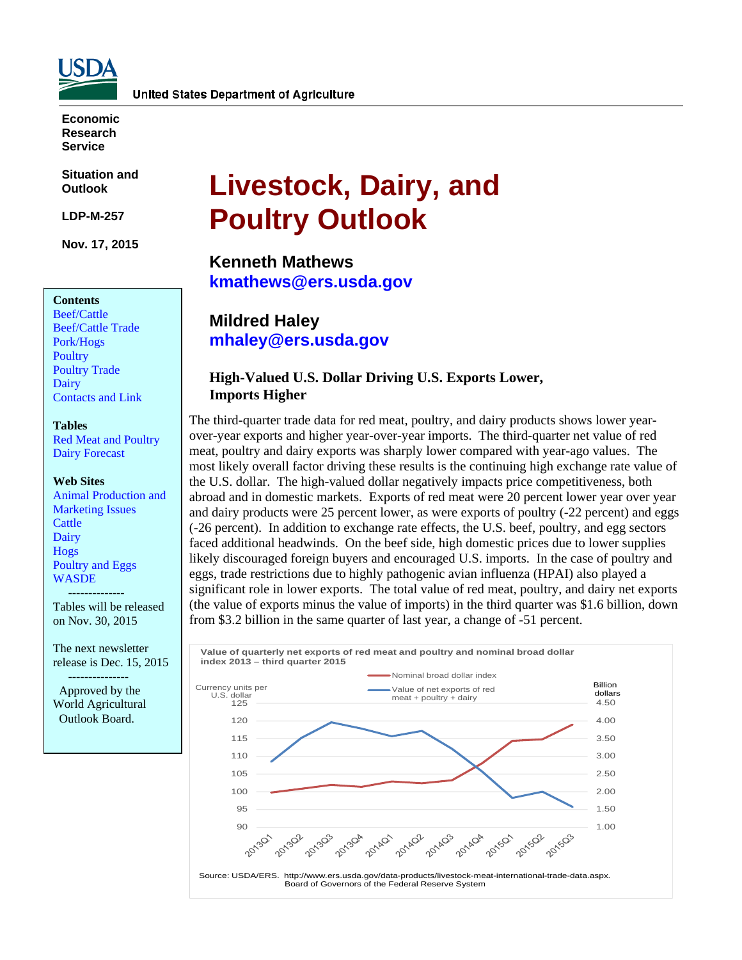

**Economic Research Service** 

**Situation and Outlook** 

**LDP-M-257** 

**Nov. 17, 2015** 

#### **Contents**

[Beef/Cattle](#page-2-0)  [Beef/Cattle Trade](#page-5-0)  [Pork/Hogs](#page-6-0)  **Poultry** [Poultry Trade](#page-12-0)  [Dairy](#page-15-0)  [Contacts and Link](#page-18-0) 

#### **Tables**

[Red Meat and Poultry](#page-19-0)  [Dairy Forecast](#page-20-0) 

#### **Web Sites**

[Animal Production and](http://www.ers.usda.gov/topics/animal-products/animal-production-marketing-issues.aspx)  Marketing Issues **Cattle** [Dairy](http://www.ers.usda.gov/topics/animal-products/dairy.aspx)  [Hogs](http://www.ers.usda.gov/topics/animal-products/hogs-pork.aspx)  [Poultry and Eggs](http://www.ers.usda.gov/topics/animal-products/poultry-eggs.aspx)  [WASDE](http://usda.mannlib.cornell.edu/MannUsda/viewDocumentInfo.do?documentID=1194) 

 -------------- Tables will be released on Nov. 30, 2015

The next newsletter release is Dec. 15, 2015

 --------------- Approved by the World Agricultural Outlook Board.

# **Livestock, Dairy, and Poultry Outlook**

**Kenneth Mathews kmathews@ers.usda.gov** 

**Mildred Haley mhaley@ers.usda.gov** 

## **High-Valued U.S. Dollar Driving U.S. Exports Lower, Imports Higher**

The third-quarter trade data for red meat, poultry, and dairy products shows lower yearover-year exports and higher year-over-year imports. The third-quarter net value of red meat, poultry and dairy exports was sharply lower compared with year-ago values. The most likely overall factor driving these results is the continuing high exchange rate value of the U.S. dollar. The high-valued dollar negatively impacts price competitiveness, both abroad and in domestic markets. Exports of red meat were 20 percent lower year over year and dairy products were 25 percent lower, as were exports of poultry (-22 percent) and eggs (-26 percent). In addition to exchange rate effects, the U.S. beef, poultry, and egg sectors faced additional headwinds. On the beef side, high domestic prices due to lower supplies likely discouraged foreign buyers and encouraged U.S. imports. In the case of poultry and eggs, trade restrictions due to highly pathogenic avian influenza (HPAI) also played a significant role in lower exports. The total value of red meat, poultry, and dairy net exports (the value of exports minus the value of imports) in the third quarter was \$1.6 billion, down from \$3.2 billion in the same quarter of last year, a change of -51 percent.

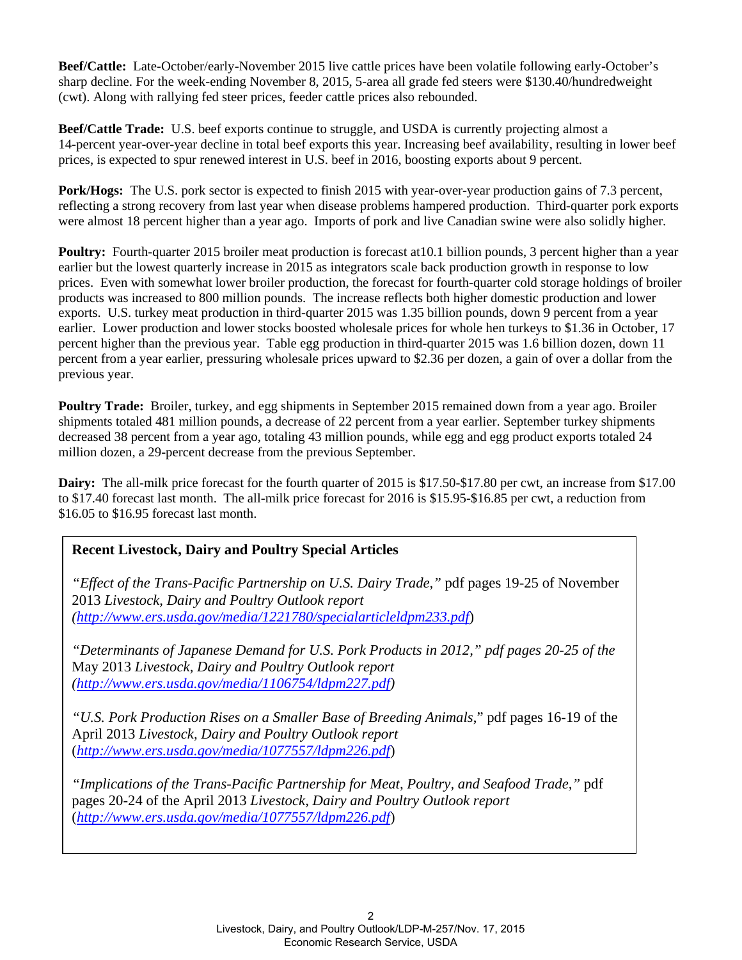**Beef/Cattle:** Late-October/early-November 2015 live cattle prices have been volatile following early-October's sharp decline. For the week-ending November 8, 2015, 5-area all grade fed steers were \$130.40/hundredweight (cwt). Along with rallying fed steer prices, feeder cattle prices also rebounded.

**Beef/Cattle Trade:** U.S. beef exports continue to struggle, and USDA is currently projecting almost a 14-percent year-over-year decline in total beef exports this year. Increasing beef availability, resulting in lower beef prices, is expected to spur renewed interest in U.S. beef in 2016, boosting exports about 9 percent.

**Pork/Hogs:** The U.S. pork sector is expected to finish 2015 with year-over-year production gains of 7.3 percent, reflecting a strong recovery from last year when disease problems hampered production. Third-quarter pork exports were almost 18 percent higher than a year ago. Imports of pork and live Canadian swine were also solidly higher.

**Poultry:** Fourth-quarter 2015 broiler meat production is forecast at 10.1 billion pounds, 3 percent higher than a year earlier but the lowest quarterly increase in 2015 as integrators scale back production growth in response to low prices. Even with somewhat lower broiler production, the forecast for fourth-quarter cold storage holdings of broiler products was increased to 800 million pounds. The increase reflects both higher domestic production and lower exports. U.S. turkey meat production in third-quarter 2015 was 1.35 billion pounds, down 9 percent from a year earlier. Lower production and lower stocks boosted wholesale prices for whole hen turkeys to \$1.36 in October, 17 percent higher than the previous year. Table egg production in third-quarter 2015 was 1.6 billion dozen, down 11 percent from a year earlier, pressuring wholesale prices upward to \$2.36 per dozen, a gain of over a dollar from the previous year.

**Poultry Trade:** Broiler, turkey, and egg shipments in September 2015 remained down from a year ago. Broiler shipments totaled 481 million pounds, a decrease of 22 percent from a year earlier. September turkey shipments decreased 38 percent from a year ago, totaling 43 million pounds, while egg and egg product exports totaled 24 million dozen, a 29-percent decrease from the previous September.

**Dairy:** The all-milk price forecast for the fourth quarter of 2015 is \$17.50-\$17.80 per cwt, an increase from \$17.00 to \$17.40 forecast last month. The all-milk price forecast for 2016 is \$15.95-\$16.85 per cwt, a reduction from \$16.05 to \$16.95 forecast last month.

# **Recent Livestock, Dairy and Poultry Special Articles**

*"Effect of the Trans-Pacific Partnership on U.S. Dairy Trade,"* pdf pages 19-25 of November 2013 *Livestock, Dairy and Poultry Outlook report (http://www.ers.usda.gov/media/1221780/specialarticleldpm233.pdf*)

*"Determinants of Japanese Demand for U.S. Pork Products in 2012," pdf pages 20-25 of the*  May 2013 *Livestock, Dairy and Poultry Outlook report (http://www.ers.usda.gov/media/1106754/ldpm227.pdf)* 

*"U.S. Pork Production Rises on a Smaller Base of Breeding Animals*," pdf pages 16-19 of the April 2013 *Livestock, Dairy and Poultry Outlook report* (*http://www.ers.usda.gov/media/1077557/ldpm226.pdf*)

*"Implications of the Trans-Pacific Partnership for Meat, Poultry, and Seafood Trade,"* pdf pages 20-24 of the April 2013 *Livestock, Dairy and Poultry Outlook report* (*http://www.ers.usda.gov/media/1077557/ldpm226.pdf*)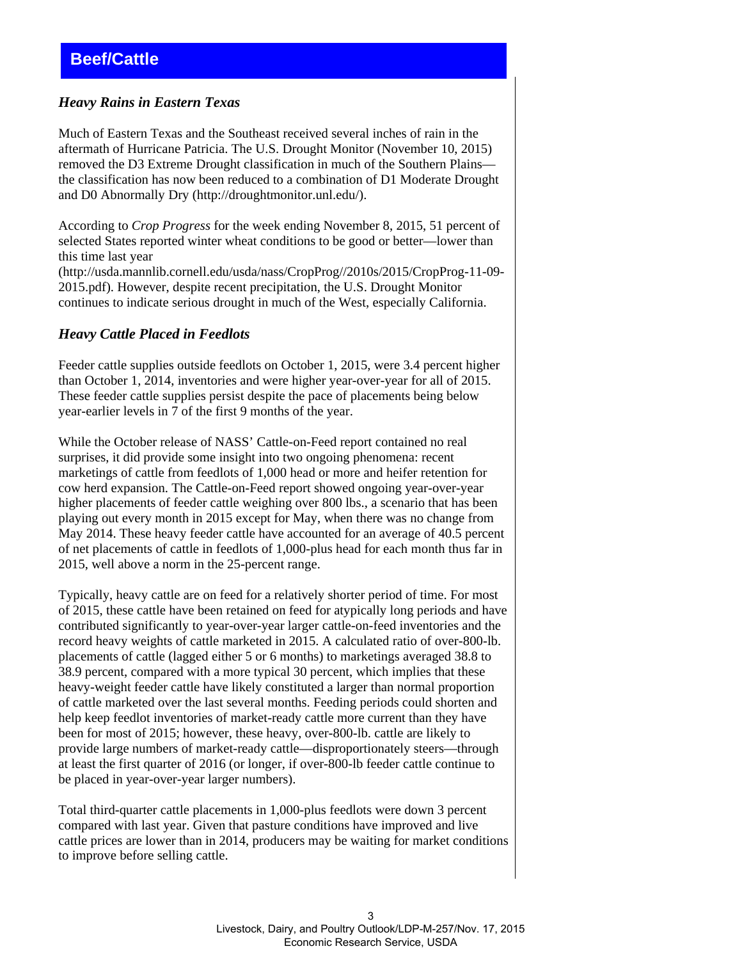#### <span id="page-2-0"></span>*Heavy Rains in Eastern Texas*

Much of Eastern Texas and the Southeast received several inches of rain in the aftermath of Hurricane Patricia. The U.S. Drought Monitor (November 10, 2015) removed the D3 Extreme Drought classification in much of the Southern Plains the classification has now been reduced to a combination of D1 Moderate Drought and D0 Abnormally Dry (http://droughtmonitor.unl.edu/).

According to *Crop Progress* for the week ending November 8, 2015, 51 percent of selected States reported winter wheat conditions to be good or better—lower than this time last year

(http://usda.mannlib.cornell.edu/usda/nass/CropProg//2010s/2015/CropProg-11-09- 2015.pdf). However, despite recent precipitation, the U.S. Drought Monitor continues to indicate serious drought in much of the West, especially California.

#### *Heavy Cattle Placed in Feedlots*

Feeder cattle supplies outside feedlots on October 1, 2015, were 3.4 percent higher than October 1, 2014, inventories and were higher year-over-year for all of 2015. These feeder cattle supplies persist despite the pace of placements being below year-earlier levels in 7 of the first 9 months of the year.

While the October release of NASS' Cattle-on-Feed report contained no real surprises, it did provide some insight into two ongoing phenomena: recent marketings of cattle from feedlots of 1,000 head or more and heifer retention for cow herd expansion. The Cattle-on-Feed report showed ongoing year-over-year higher placements of feeder cattle weighing over 800 lbs., a scenario that has been playing out every month in 2015 except for May, when there was no change from May 2014. These heavy feeder cattle have accounted for an average of 40.5 percent of net placements of cattle in feedlots of 1,000-plus head for each month thus far in 2015, well above a norm in the 25-percent range.

Typically, heavy cattle are on feed for a relatively shorter period of time. For most of 2015, these cattle have been retained on feed for atypically long periods and have contributed significantly to year-over-year larger cattle-on-feed inventories and the record heavy weights of cattle marketed in 2015. A calculated ratio of over-800-lb. placements of cattle (lagged either 5 or 6 months) to marketings averaged 38.8 to 38.9 percent, compared with a more typical 30 percent, which implies that these heavy-weight feeder cattle have likely constituted a larger than normal proportion of cattle marketed over the last several months. Feeding periods could shorten and help keep feedlot inventories of market-ready cattle more current than they have been for most of 2015; however, these heavy, over-800-lb. cattle are likely to provide large numbers of market-ready cattle—disproportionately steers—through at least the first quarter of 2016 (or longer, if over-800-lb feeder cattle continue to be placed in year-over-year larger numbers).

Total third-quarter cattle placements in 1,000-plus feedlots were down 3 percent compared with last year. Given that pasture conditions have improved and live cattle prices are lower than in 2014, producers may be waiting for market conditions to improve before selling cattle.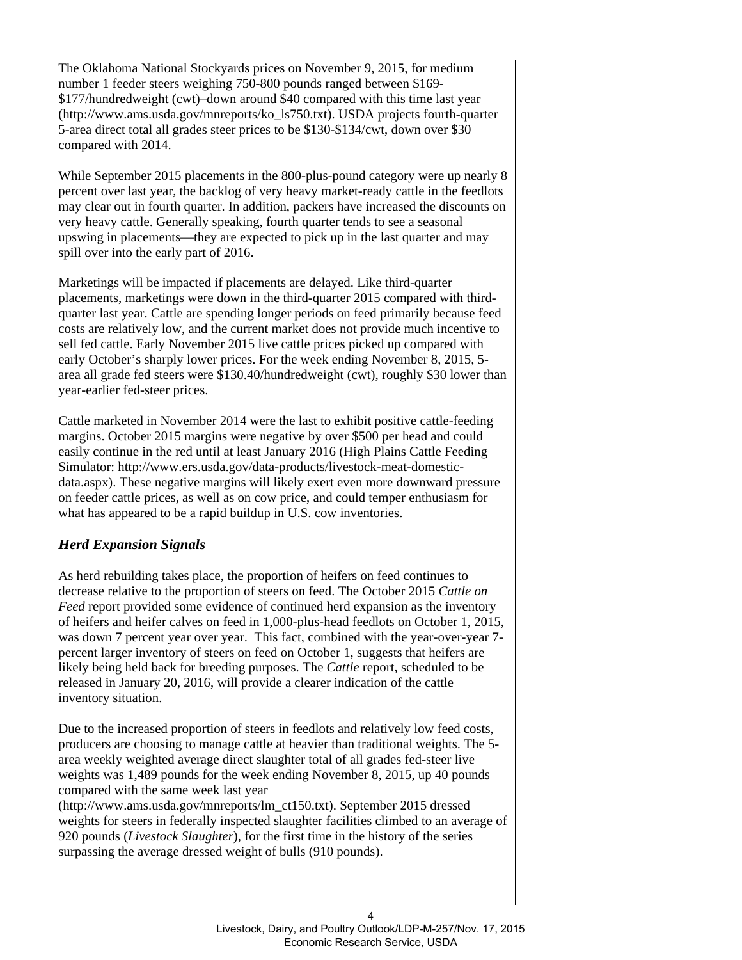The Oklahoma National Stockyards prices on November 9, 2015, for medium number 1 feeder steers weighing 750-800 pounds ranged between \$169- \$177/hundredweight (cwt)–down around \$40 compared with this time last year (http://www.ams.usda.gov/mnreports/ko\_ls750.txt). USDA projects fourth-quarter 5-area direct total all grades steer prices to be \$130-\$134/cwt, down over \$30 compared with 2014.

While September 2015 placements in the 800-plus-pound category were up nearly 8 percent over last year, the backlog of very heavy market-ready cattle in the feedlots may clear out in fourth quarter. In addition, packers have increased the discounts on very heavy cattle. Generally speaking, fourth quarter tends to see a seasonal upswing in placements—they are expected to pick up in the last quarter and may spill over into the early part of 2016.

Marketings will be impacted if placements are delayed. Like third-quarter placements, marketings were down in the third-quarter 2015 compared with thirdquarter last year. Cattle are spending longer periods on feed primarily because feed costs are relatively low, and the current market does not provide much incentive to sell fed cattle. Early November 2015 live cattle prices picked up compared with early October's sharply lower prices. For the week ending November 8, 2015, 5 area all grade fed steers were \$130.40/hundredweight (cwt), roughly \$30 lower than year-earlier fed-steer prices.

Cattle marketed in November 2014 were the last to exhibit positive cattle-feeding margins. October 2015 margins were negative by over \$500 per head and could easily continue in the red until at least January 2016 (High Plains Cattle Feeding Simulator: http://www.ers.usda.gov/data-products/livestock-meat-domesticdata.aspx). These negative margins will likely exert even more downward pressure on feeder cattle prices, as well as on cow price, and could temper enthusiasm for what has appeared to be a rapid buildup in U.S. cow inventories.

## *Herd Expansion Signals*

As herd rebuilding takes place, the proportion of heifers on feed continues to decrease relative to the proportion of steers on feed. The October 2015 *Cattle on Feed* report provided some evidence of continued herd expansion as the inventory of heifers and heifer calves on feed in 1,000-plus-head feedlots on October 1, 2015, was down 7 percent year over year. This fact, combined with the year-over-year 7percent larger inventory of steers on feed on October 1, suggests that heifers are likely being held back for breeding purposes. The *Cattle* report, scheduled to be released in January 20, 2016, will provide a clearer indication of the cattle inventory situation.

Due to the increased proportion of steers in feedlots and relatively low feed costs, producers are choosing to manage cattle at heavier than traditional weights. The 5 area weekly weighted average direct slaughter total of all grades fed-steer live weights was 1,489 pounds for the week ending November 8, 2015, up 40 pounds compared with the same week last year

(http://www.ams.usda.gov/mnreports/lm\_ct150.txt). September 2015 dressed weights for steers in federally inspected slaughter facilities climbed to an average of 920 pounds (*Livestock Slaughter*), for the first time in the history of the series surpassing the average dressed weight of bulls (910 pounds).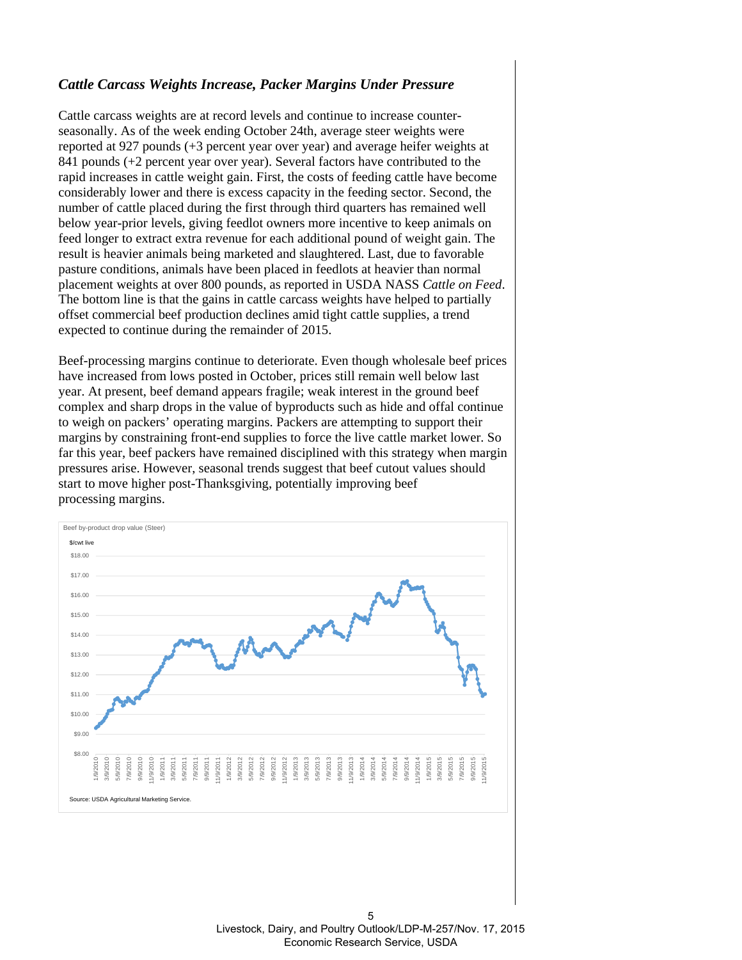#### *Cattle Carcass Weights Increase, Packer Margins Under Pressure*

Cattle carcass weights are at record levels and continue to increase counterseasonally. As of the week ending October 24th, average steer weights were reported at 927 pounds (+3 percent year over year) and average heifer weights at 841 pounds (+2 percent year over year). Several factors have contributed to the rapid increases in cattle weight gain. First, the costs of feeding cattle have become considerably lower and there is excess capacity in the feeding sector. Second, the number of cattle placed during the first through third quarters has remained well below year-prior levels, giving feedlot owners more incentive to keep animals on feed longer to extract extra revenue for each additional pound of weight gain. The result is heavier animals being marketed and slaughtered. Last, due to favorable pasture conditions, animals have been placed in feedlots at heavier than normal placement weights at over 800 pounds, as reported in USDA NASS *Cattle on Feed*. The bottom line is that the gains in cattle carcass weights have helped to partially offset commercial beef production declines amid tight cattle supplies, a trend expected to continue during the remainder of 2015.

Beef-processing margins continue to deteriorate. Even though wholesale beef prices have increased from lows posted in October, prices still remain well below last year. At present, beef demand appears fragile; weak interest in the ground beef complex and sharp drops in the value of byproducts such as hide and offal continue to weigh on packers' operating margins. Packers are attempting to support their margins by constraining front-end supplies to force the live cattle market lower. So far this year, beef packers have remained disciplined with this strategy when margin pressures arise. However, seasonal trends suggest that beef cutout values should start to move higher post-Thanksgiving, potentially improving beef processing margins.



5 Livestock, Dairy, and Poultry Outlook/LDP-M-257/Nov. 17, 2015 Economic Research Service, USDA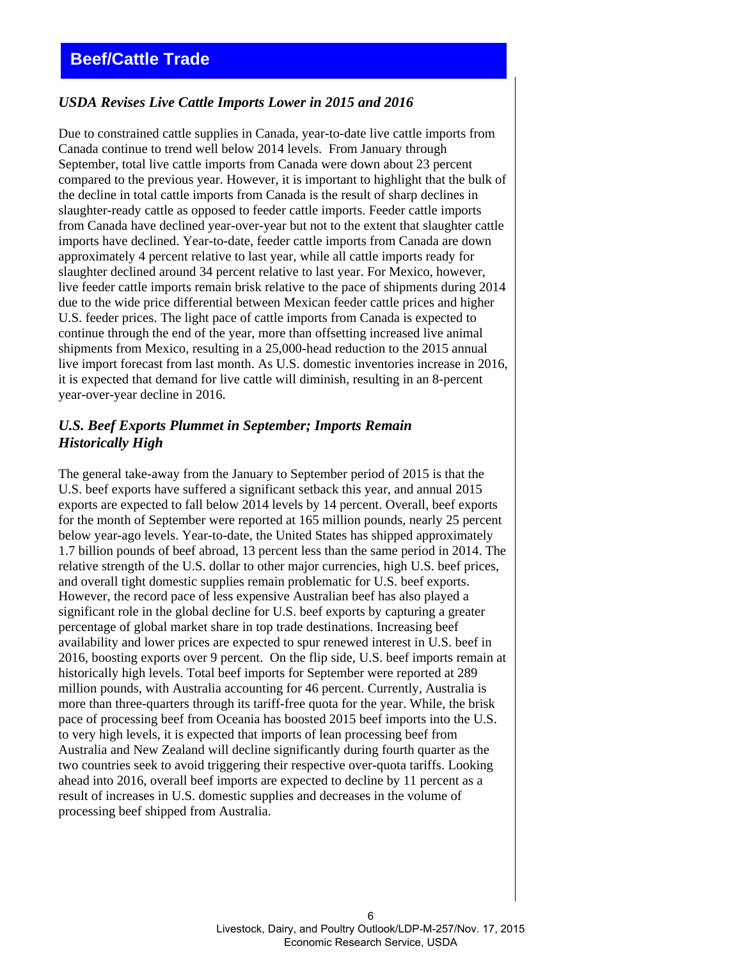#### <span id="page-5-0"></span>*USDA Revises Live Cattle Imports Lower in 2015 and 2016*

Due to constrained cattle supplies in Canada, year-to-date live cattle imports from Canada continue to trend well below 2014 levels. From January through September, total live cattle imports from Canada were down about 23 percent compared to the previous year. However, it is important to highlight that the bulk of the decline in total cattle imports from Canada is the result of sharp declines in slaughter-ready cattle as opposed to feeder cattle imports. Feeder cattle imports from Canada have declined year-over-year but not to the extent that slaughter cattle imports have declined. Year-to-date, feeder cattle imports from Canada are down approximately 4 percent relative to last year, while all cattle imports ready for slaughter declined around 34 percent relative to last year. For Mexico, however, live feeder cattle imports remain brisk relative to the pace of shipments during 2014 due to the wide price differential between Mexican feeder cattle prices and higher U.S. feeder prices. The light pace of cattle imports from Canada is expected to continue through the end of the year, more than offsetting increased live animal shipments from Mexico, resulting in a 25,000-head reduction to the 2015 annual live import forecast from last month. As U.S. domestic inventories increase in 2016, it is expected that demand for live cattle will diminish, resulting in an 8-percent year-over-year decline in 2016.

#### *U.S. Beef Exports Plummet in September; Imports Remain Historically High*

The general take-away from the January to September period of 2015 is that the U.S. beef exports have suffered a significant setback this year, and annual 2015 exports are expected to fall below 2014 levels by 14 percent. Overall, beef exports for the month of September were reported at 165 million pounds, nearly 25 percent below year-ago levels. Year-to-date, the United States has shipped approximately 1.7 billion pounds of beef abroad, 13 percent less than the same period in 2014. The relative strength of the U.S. dollar to other major currencies, high U.S. beef prices, and overall tight domestic supplies remain problematic for U.S. beef exports. However, the record pace of less expensive Australian beef has also played a significant role in the global decline for U.S. beef exports by capturing a greater percentage of global market share in top trade destinations. Increasing beef availability and lower prices are expected to spur renewed interest in U.S. beef in 2016, boosting exports over 9 percent. On the flip side, U.S. beef imports remain at historically high levels. Total beef imports for September were reported at 289 million pounds, with Australia accounting for 46 percent. Currently, Australia is more than three-quarters through its tariff-free quota for the year. While, the brisk pace of processing beef from Oceania has boosted 2015 beef imports into the U.S. to very high levels, it is expected that imports of lean processing beef from Australia and New Zealand will decline significantly during fourth quarter as the two countries seek to avoid triggering their respective over-quota tariffs. Looking ahead into 2016, overall beef imports are expected to decline by 11 percent as a result of increases in U.S. domestic supplies and decreases in the volume of processing beef shipped from Australia.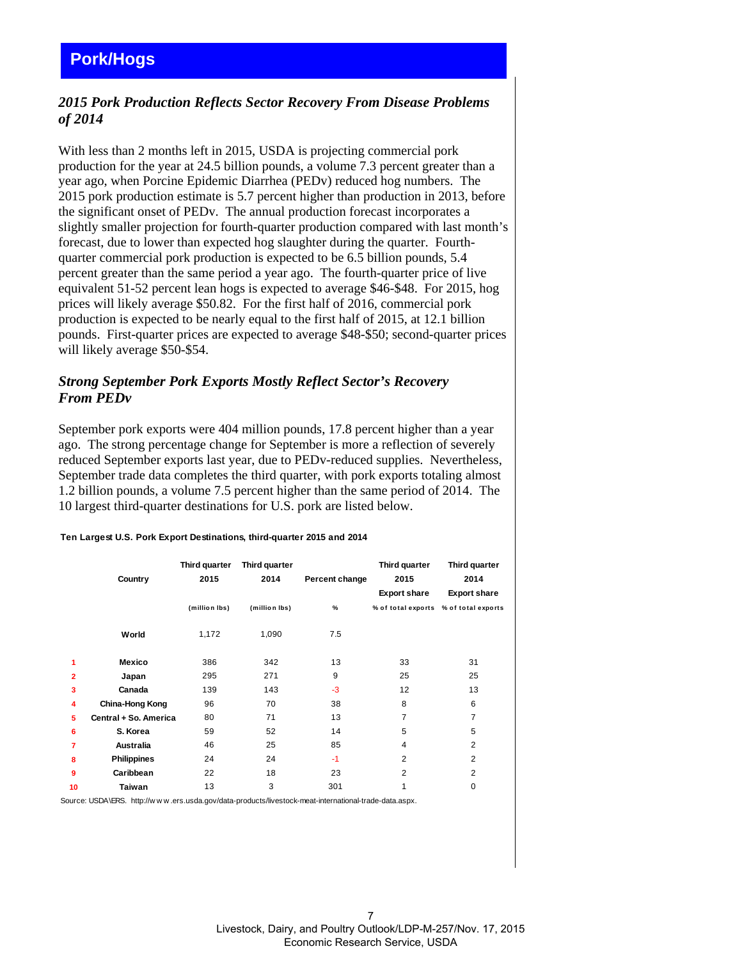# <span id="page-6-0"></span>*2015 Pork Production Reflects Sector Recovery From Disease Problems of 2014*

With less than 2 months left in 2015, USDA is projecting commercial pork production for the year at 24.5 billion pounds, a volume 7.3 percent greater than a year ago, when Porcine Epidemic Diarrhea (PEDv) reduced hog numbers. The 2015 pork production estimate is 5.7 percent higher than production in 2013, before the significant onset of PEDv. The annual production forecast incorporates a slightly smaller projection for fourth-quarter production compared with last month's forecast, due to lower than expected hog slaughter during the quarter. Fourthquarter commercial pork production is expected to be 6.5 billion pounds, 5.4 percent greater than the same period a year ago. The fourth-quarter price of live equivalent 51-52 percent lean hogs is expected to average \$46-\$48. For 2015, hog prices will likely average \$50.82. For the first half of 2016, commercial pork production is expected to be nearly equal to the first half of 2015, at 12.1 billion pounds. First-quarter prices are expected to average \$48-\$50; second-quarter prices will likely average \$50-\$54.

## *Strong September Pork Exports Mostly Reflect Sector's Recovery From PEDv*

September pork exports were 404 million pounds, 17.8 percent higher than a year ago. The strong percentage change for September is more a reflection of severely reduced September exports last year, due to PEDv-reduced supplies. Nevertheless, September trade data completes the third quarter, with pork exports totaling almost 1.2 billion pounds, a volume 7.5 percent higher than the same period of 2014. The 10 largest third-quarter destinations for U.S. pork are listed below.

|                | Country               | Third quarter<br>2015 | Third quarter<br>2014 | Percent change | Third quarter<br>2015<br><b>Export share</b> | Third quarter<br>2014<br><b>Export share</b> |  |  |
|----------------|-----------------------|-----------------------|-----------------------|----------------|----------------------------------------------|----------------------------------------------|--|--|
|                |                       | (million lbs)         | (million lbs)         | $\%$           | % of total exports % of total exports        |                                              |  |  |
|                | World                 | 1,172                 | 1,090                 | 7.5            |                                              |                                              |  |  |
| 1              | Mexico                | 386                   | 342                   | 13             | 33                                           | 31                                           |  |  |
| $\overline{2}$ | Japan                 | 295                   | 271                   | 9              | 25                                           | 25                                           |  |  |
| 3              | Canada                | 139                   | 143                   | $-3$           | 12                                           | 13                                           |  |  |
| 4              | China-Hong Kong       | 96                    | 70                    | 38             | 8                                            | 6                                            |  |  |
| 5              | Central + So. America | 80                    | 71                    | 13             | 7                                            | 7                                            |  |  |
| 6              | S. Korea              | 59                    | 52                    | 14             | 5                                            | 5                                            |  |  |
| 7              | Australia             | 46                    | 25                    | 85             | 4                                            | $\overline{2}$                               |  |  |
| 8              | <b>Philippines</b>    | 24                    | 24                    | $-1$           | $\overline{2}$                               | $\overline{2}$                               |  |  |
| 9              | Caribbean             | 22                    | 18                    | 23             | $\overline{2}$                               | $\overline{2}$                               |  |  |
| 10             | Taiwan                | 13                    | 3                     | 301            |                                              | 0                                            |  |  |

#### **Ten Largest U.S. Pork Export Destinations, third-quarter 2015 and 2014**

Source: USDA\ERS. http://w w w .ers.usda.gov/data-products/livestock-meat-international-trade-data.aspx.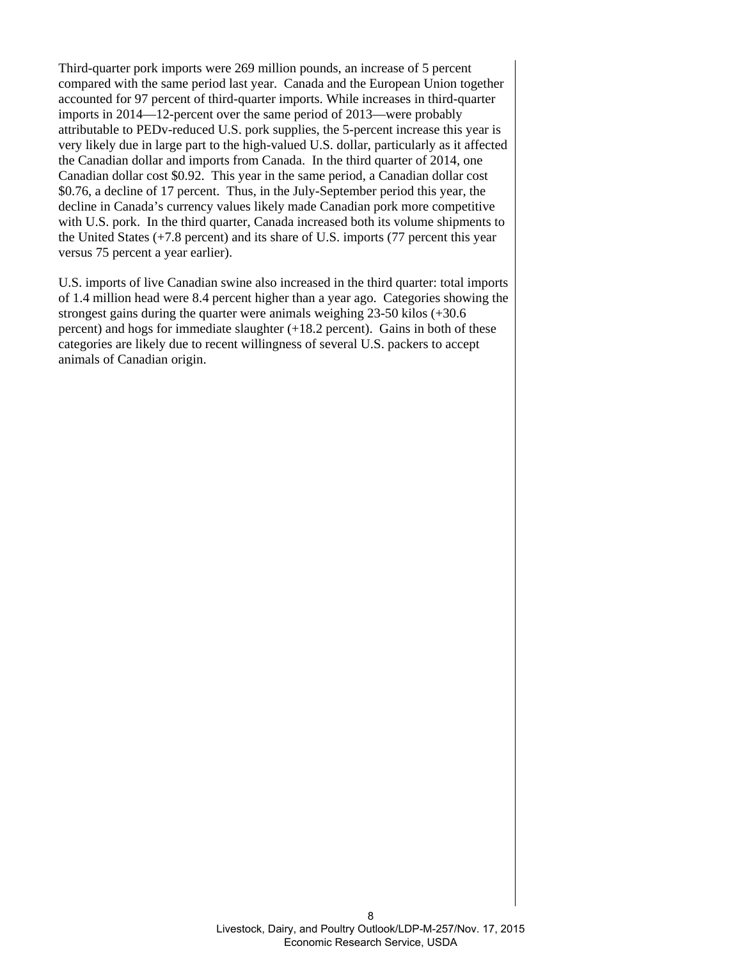Third-quarter pork imports were 269 million pounds, an increase of 5 percent compared with the same period last year. Canada and the European Union together accounted for 97 percent of third-quarter imports. While increases in third-quarter imports in 2014—12-percent over the same period of 2013—were probably attributable to PEDv-reduced U.S. pork supplies, the 5-percent increase this year is very likely due in large part to the high-valued U.S. dollar, particularly as it affected the Canadian dollar and imports from Canada. In the third quarter of 2014, one Canadian dollar cost \$0.92. This year in the same period, a Canadian dollar cost \$0.76, a decline of 17 percent. Thus, in the July-September period this year, the decline in Canada's currency values likely made Canadian pork more competitive with U.S. pork. In the third quarter, Canada increased both its volume shipments to the United States (+7.8 percent) and its share of U.S. imports (77 percent this year versus 75 percent a year earlier).

U.S. imports of live Canadian swine also increased in the third quarter: total imports of 1.4 million head were 8.4 percent higher than a year ago. Categories showing the strongest gains during the quarter were animals weighing 23-50 kilos (+30.6 percent) and hogs for immediate slaughter (+18.2 percent). Gains in both of these categories are likely due to recent willingness of several U.S. packers to accept animals of Canadian origin.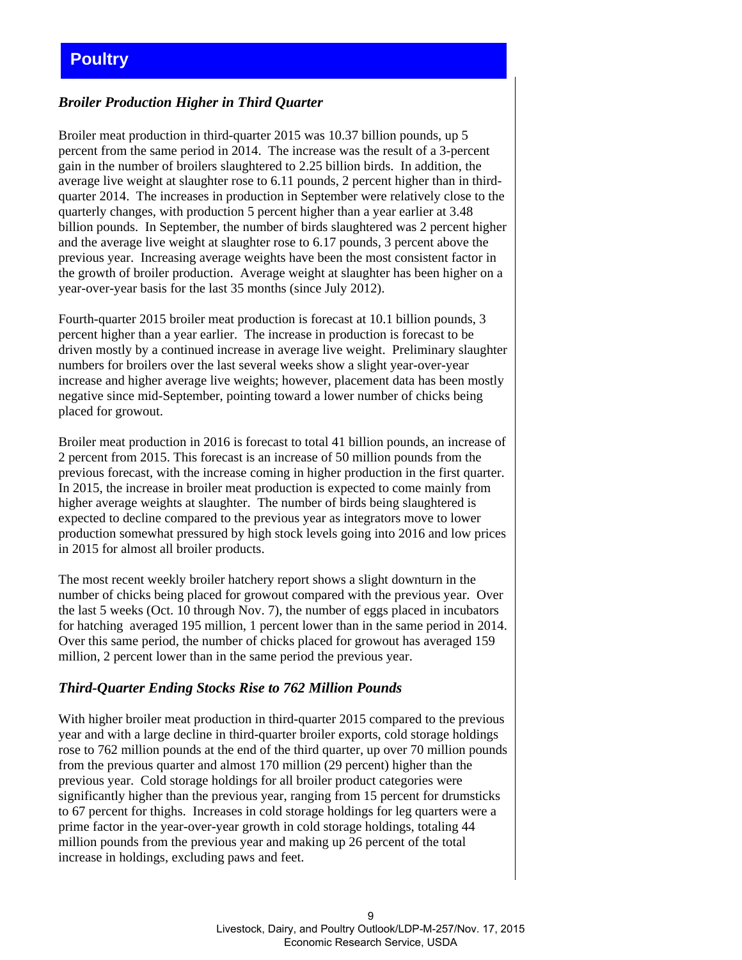# <span id="page-8-0"></span>**Poultry**

## *Broiler Production Higher in Third Quarter*

Broiler meat production in third-quarter 2015 was 10.37 billion pounds, up 5 percent from the same period in 2014. The increase was the result of a 3-percent gain in the number of broilers slaughtered to 2.25 billion birds. In addition, the average live weight at slaughter rose to 6.11 pounds, 2 percent higher than in thirdquarter 2014. The increases in production in September were relatively close to the quarterly changes, with production 5 percent higher than a year earlier at 3.48 billion pounds. In September, the number of birds slaughtered was 2 percent higher and the average live weight at slaughter rose to 6.17 pounds, 3 percent above the previous year. Increasing average weights have been the most consistent factor in the growth of broiler production. Average weight at slaughter has been higher on a year-over-year basis for the last 35 months (since July 2012).

Fourth-quarter 2015 broiler meat production is forecast at 10.1 billion pounds, 3 percent higher than a year earlier. The increase in production is forecast to be driven mostly by a continued increase in average live weight. Preliminary slaughter numbers for broilers over the last several weeks show a slight year-over-year increase and higher average live weights; however, placement data has been mostly negative since mid-September, pointing toward a lower number of chicks being placed for growout.

Broiler meat production in 2016 is forecast to total 41 billion pounds, an increase of 2 percent from 2015. This forecast is an increase of 50 million pounds from the previous forecast, with the increase coming in higher production in the first quarter. In 2015, the increase in broiler meat production is expected to come mainly from higher average weights at slaughter. The number of birds being slaughtered is expected to decline compared to the previous year as integrators move to lower production somewhat pressured by high stock levels going into 2016 and low prices in 2015 for almost all broiler products.

The most recent weekly broiler hatchery report shows a slight downturn in the number of chicks being placed for growout compared with the previous year. Over the last 5 weeks (Oct. 10 through Nov. 7), the number of eggs placed in incubators for hatching averaged 195 million, 1 percent lower than in the same period in 2014. Over this same period, the number of chicks placed for growout has averaged 159 million, 2 percent lower than in the same period the previous year.

#### *Third-Quarter Ending Stocks Rise to 762 Million Pounds*

With higher broiler meat production in third-quarter 2015 compared to the previous year and with a large decline in third-quarter broiler exports, cold storage holdings rose to 762 million pounds at the end of the third quarter, up over 70 million pounds from the previous quarter and almost 170 million (29 percent) higher than the previous year. Cold storage holdings for all broiler product categories were significantly higher than the previous year, ranging from 15 percent for drumsticks to 67 percent for thighs. Increases in cold storage holdings for leg quarters were a prime factor in the year-over-year growth in cold storage holdings, totaling 44 million pounds from the previous year and making up 26 percent of the total increase in holdings, excluding paws and feet.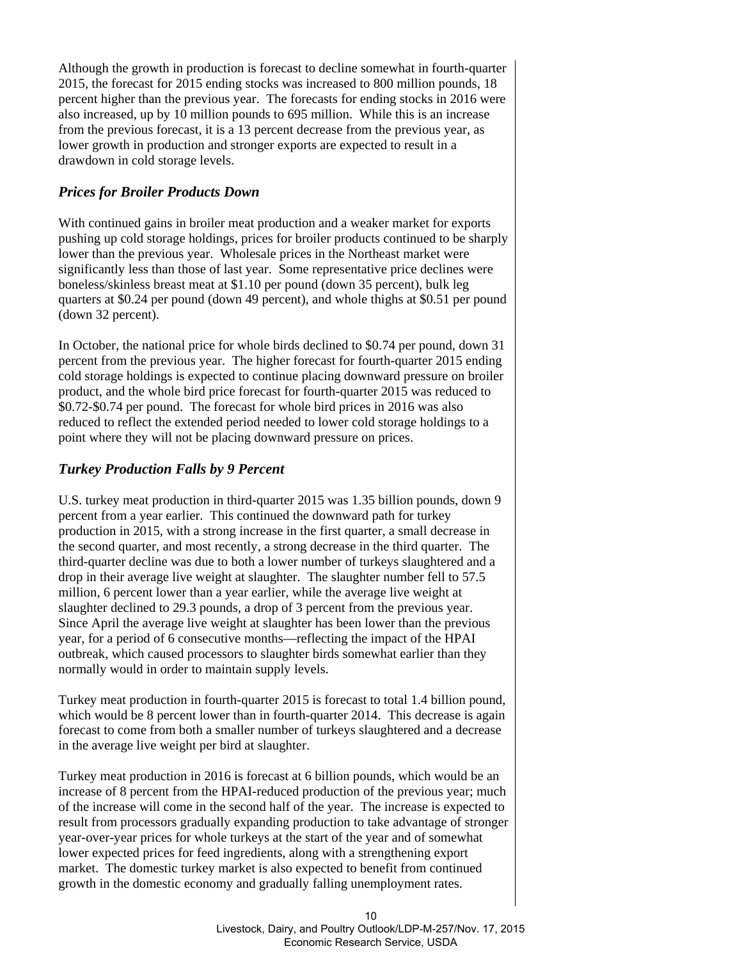Although the growth in production is forecast to decline somewhat in fourth-quarter 2015, the forecast for 2015 ending stocks was increased to 800 million pounds, 18 percent higher than the previous year. The forecasts for ending stocks in 2016 were also increased, up by 10 million pounds to 695 million. While this is an increase from the previous forecast, it is a 13 percent decrease from the previous year, as lower growth in production and stronger exports are expected to result in a drawdown in cold storage levels.

#### *Prices for Broiler Products Down*

With continued gains in broiler meat production and a weaker market for exports pushing up cold storage holdings, prices for broiler products continued to be sharply lower than the previous year. Wholesale prices in the Northeast market were significantly less than those of last year. Some representative price declines were boneless/skinless breast meat at \$1.10 per pound (down 35 percent), bulk leg quarters at \$0.24 per pound (down 49 percent), and whole thighs at \$0.51 per pound (down 32 percent).

In October, the national price for whole birds declined to \$0.74 per pound, down 31 percent from the previous year. The higher forecast for fourth-quarter 2015 ending cold storage holdings is expected to continue placing downward pressure on broiler product, and the whole bird price forecast for fourth-quarter 2015 was reduced to \$0.72-\$0.74 per pound. The forecast for whole bird prices in 2016 was also reduced to reflect the extended period needed to lower cold storage holdings to a point where they will not be placing downward pressure on prices.

#### *Turkey Production Falls by 9 Percent*

U.S. turkey meat production in third-quarter 2015 was 1.35 billion pounds, down 9 percent from a year earlier. This continued the downward path for turkey production in 2015, with a strong increase in the first quarter, a small decrease in the second quarter, and most recently, a strong decrease in the third quarter. The third-quarter decline was due to both a lower number of turkeys slaughtered and a drop in their average live weight at slaughter. The slaughter number fell to 57.5 million, 6 percent lower than a year earlier, while the average live weight at slaughter declined to 29.3 pounds, a drop of 3 percent from the previous year. Since April the average live weight at slaughter has been lower than the previous year, for a period of 6 consecutive months—reflecting the impact of the HPAI outbreak, which caused processors to slaughter birds somewhat earlier than they normally would in order to maintain supply levels.

Turkey meat production in fourth-quarter 2015 is forecast to total 1.4 billion pound, which would be 8 percent lower than in fourth-quarter 2014. This decrease is again forecast to come from both a smaller number of turkeys slaughtered and a decrease in the average live weight per bird at slaughter.

Turkey meat production in 2016 is forecast at 6 billion pounds, which would be an increase of 8 percent from the HPAI-reduced production of the previous year; much of the increase will come in the second half of the year. The increase is expected to result from processors gradually expanding production to take advantage of stronger year-over-year prices for whole turkeys at the start of the year and of somewhat lower expected prices for feed ingredients, along with a strengthening export market. The domestic turkey market is also expected to benefit from continued growth in the domestic economy and gradually falling unemployment rates.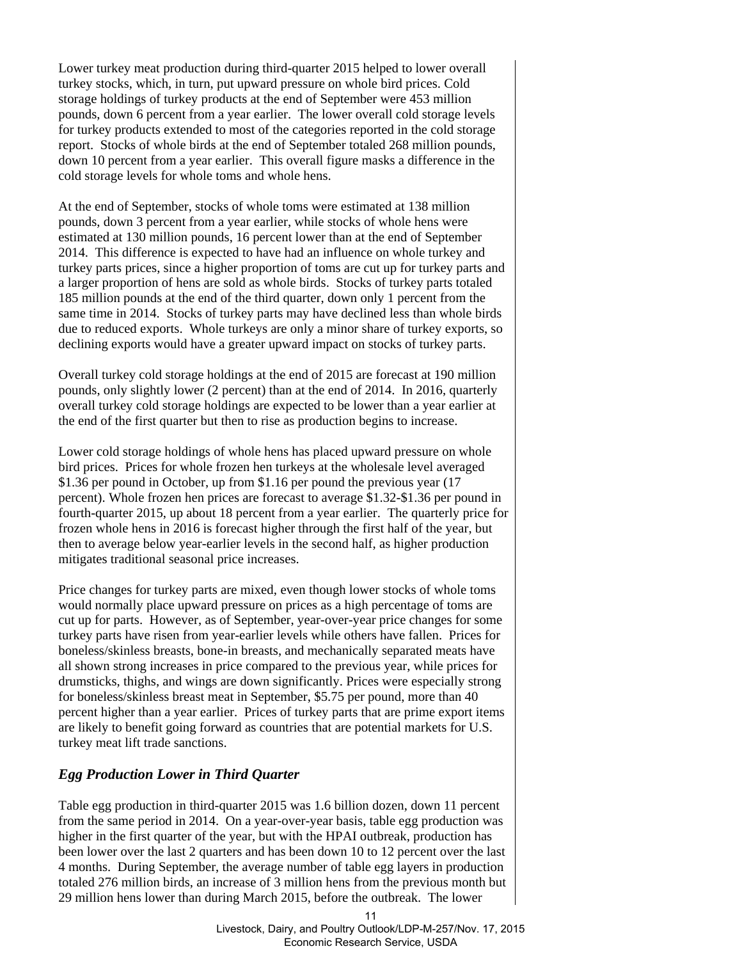Lower turkey meat production during third-quarter 2015 helped to lower overall turkey stocks, which, in turn, put upward pressure on whole bird prices. Cold storage holdings of turkey products at the end of September were 453 million pounds, down 6 percent from a year earlier. The lower overall cold storage levels for turkey products extended to most of the categories reported in the cold storage report. Stocks of whole birds at the end of September totaled 268 million pounds, down 10 percent from a year earlier. This overall figure masks a difference in the cold storage levels for whole toms and whole hens.

At the end of September, stocks of whole toms were estimated at 138 million pounds, down 3 percent from a year earlier, while stocks of whole hens were estimated at 130 million pounds, 16 percent lower than at the end of September 2014. This difference is expected to have had an influence on whole turkey and turkey parts prices, since a higher proportion of toms are cut up for turkey parts and a larger proportion of hens are sold as whole birds. Stocks of turkey parts totaled 185 million pounds at the end of the third quarter, down only 1 percent from the same time in 2014. Stocks of turkey parts may have declined less than whole birds due to reduced exports. Whole turkeys are only a minor share of turkey exports, so declining exports would have a greater upward impact on stocks of turkey parts.

Overall turkey cold storage holdings at the end of 2015 are forecast at 190 million pounds, only slightly lower (2 percent) than at the end of 2014. In 2016, quarterly overall turkey cold storage holdings are expected to be lower than a year earlier at the end of the first quarter but then to rise as production begins to increase.

Lower cold storage holdings of whole hens has placed upward pressure on whole bird prices. Prices for whole frozen hen turkeys at the wholesale level averaged \$1.36 per pound in October, up from \$1.16 per pound the previous year (17 percent). Whole frozen hen prices are forecast to average \$1.32-\$1.36 per pound in fourth-quarter 2015, up about 18 percent from a year earlier. The quarterly price for frozen whole hens in 2016 is forecast higher through the first half of the year, but then to average below year-earlier levels in the second half, as higher production mitigates traditional seasonal price increases.

Price changes for turkey parts are mixed, even though lower stocks of whole toms would normally place upward pressure on prices as a high percentage of toms are cut up for parts. However, as of September, year-over-year price changes for some turkey parts have risen from year-earlier levels while others have fallen. Prices for boneless/skinless breasts, bone-in breasts, and mechanically separated meats have all shown strong increases in price compared to the previous year, while prices for drumsticks, thighs, and wings are down significantly. Prices were especially strong for boneless/skinless breast meat in September, \$5.75 per pound, more than 40 percent higher than a year earlier. Prices of turkey parts that are prime export items are likely to benefit going forward as countries that are potential markets for U.S. turkey meat lift trade sanctions.

## *Egg Production Lower in Third Quarter*

Table egg production in third-quarter 2015 was 1.6 billion dozen, down 11 percent from the same period in 2014. On a year-over-year basis, table egg production was higher in the first quarter of the year, but with the HPAI outbreak, production has been lower over the last 2 quarters and has been down 10 to 12 percent over the last 4 months. During September, the average number of table egg layers in production totaled 276 million birds, an increase of 3 million hens from the previous month but 29 million hens lower than during March 2015, before the outbreak. The lower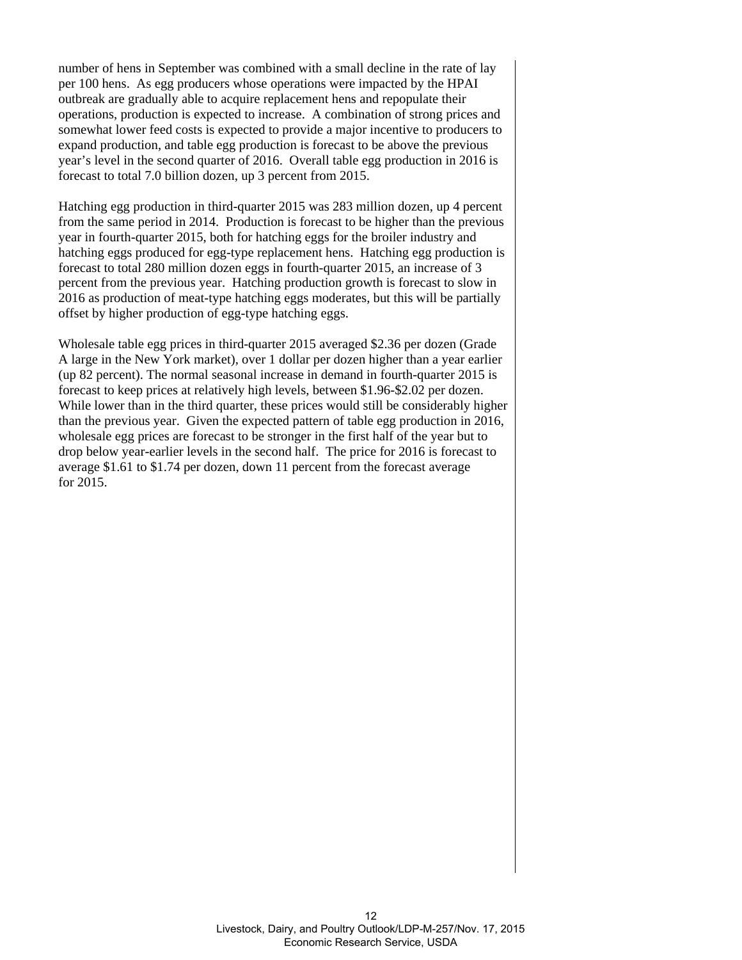number of hens in September was combined with a small decline in the rate of lay per 100 hens. As egg producers whose operations were impacted by the HPAI outbreak are gradually able to acquire replacement hens and repopulate their operations, production is expected to increase. A combination of strong prices and somewhat lower feed costs is expected to provide a major incentive to producers to expand production, and table egg production is forecast to be above the previous year's level in the second quarter of 2016. Overall table egg production in 2016 is forecast to total 7.0 billion dozen, up 3 percent from 2015.

Hatching egg production in third-quarter 2015 was 283 million dozen, up 4 percent from the same period in 2014. Production is forecast to be higher than the previous year in fourth-quarter 2015, both for hatching eggs for the broiler industry and hatching eggs produced for egg-type replacement hens. Hatching egg production is forecast to total 280 million dozen eggs in fourth-quarter 2015, an increase of 3 percent from the previous year. Hatching production growth is forecast to slow in 2016 as production of meat-type hatching eggs moderates, but this will be partially offset by higher production of egg-type hatching eggs.

Wholesale table egg prices in third-quarter 2015 averaged \$2.36 per dozen (Grade A large in the New York market), over 1 dollar per dozen higher than a year earlier (up 82 percent). The normal seasonal increase in demand in fourth-quarter 2015 is forecast to keep prices at relatively high levels, between \$1.96-\$2.02 per dozen. While lower than in the third quarter, these prices would still be considerably higher than the previous year. Given the expected pattern of table egg production in 2016, wholesale egg prices are forecast to be stronger in the first half of the year but to drop below year-earlier levels in the second half. The price for 2016 is forecast to average \$1.61 to \$1.74 per dozen, down 11 percent from the forecast average for 2015.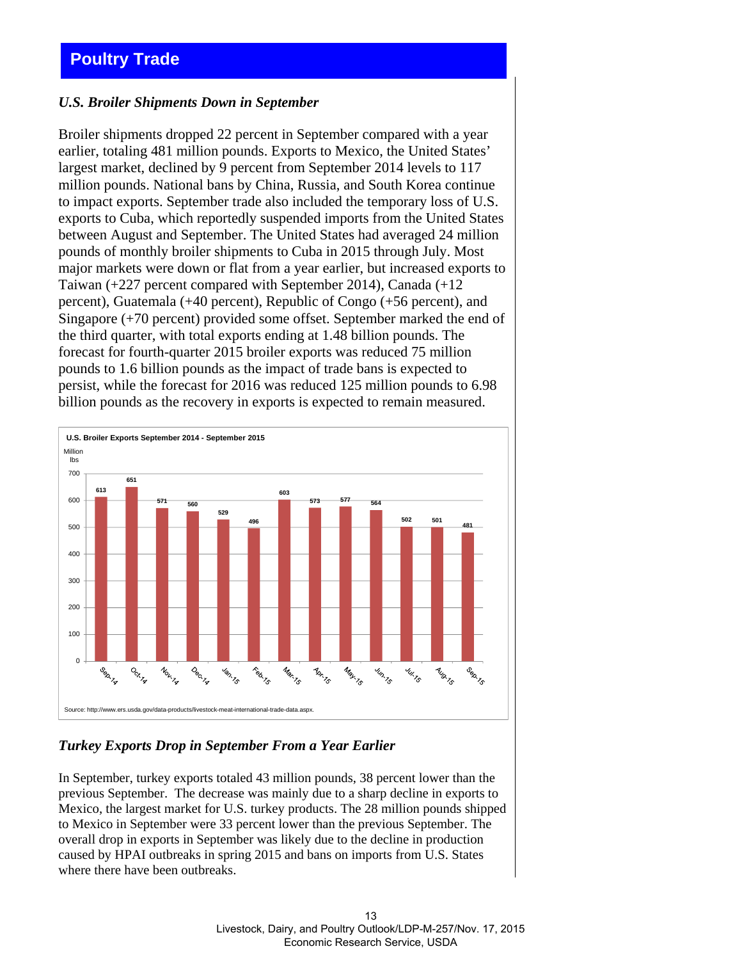# <span id="page-12-0"></span>**Poultry Trade**

#### *U.S. Broiler Shipments Down in September*

Broiler shipments dropped 22 percent in September compared with a year earlier, totaling 481 million pounds. Exports to Mexico, the United States' largest market, declined by 9 percent from September 2014 levels to 117 million pounds. National bans by China, Russia, and South Korea continue to impact exports. September trade also included the temporary loss of U.S. exports to Cuba, which reportedly suspended imports from the United States between August and September. The United States had averaged 24 million pounds of monthly broiler shipments to Cuba in 2015 through July. Most major markets were down or flat from a year earlier, but increased exports to Taiwan (+227 percent compared with September 2014), Canada (+12 percent), Guatemala (+40 percent), Republic of Congo (+56 percent), and Singapore (+70 percent) provided some offset. September marked the end of the third quarter, with total exports ending at 1.48 billion pounds. The forecast for fourth-quarter 2015 broiler exports was reduced 75 million pounds to 1.6 billion pounds as the impact of trade bans is expected to persist, while the forecast for 2016 was reduced 125 million pounds to 6.98 billion pounds as the recovery in exports is expected to remain measured.



## *Turkey Exports Drop in September From a Year Earlier*

In September, turkey exports totaled 43 million pounds, 38 percent lower than the previous September. The decrease was mainly due to a sharp decline in exports to Mexico, the largest market for U.S. turkey products. The 28 million pounds shipped to Mexico in September were 33 percent lower than the previous September. The overall drop in exports in September was likely due to the decline in production caused by HPAI outbreaks in spring 2015 and bans on imports from U.S. States where there have been outbreaks.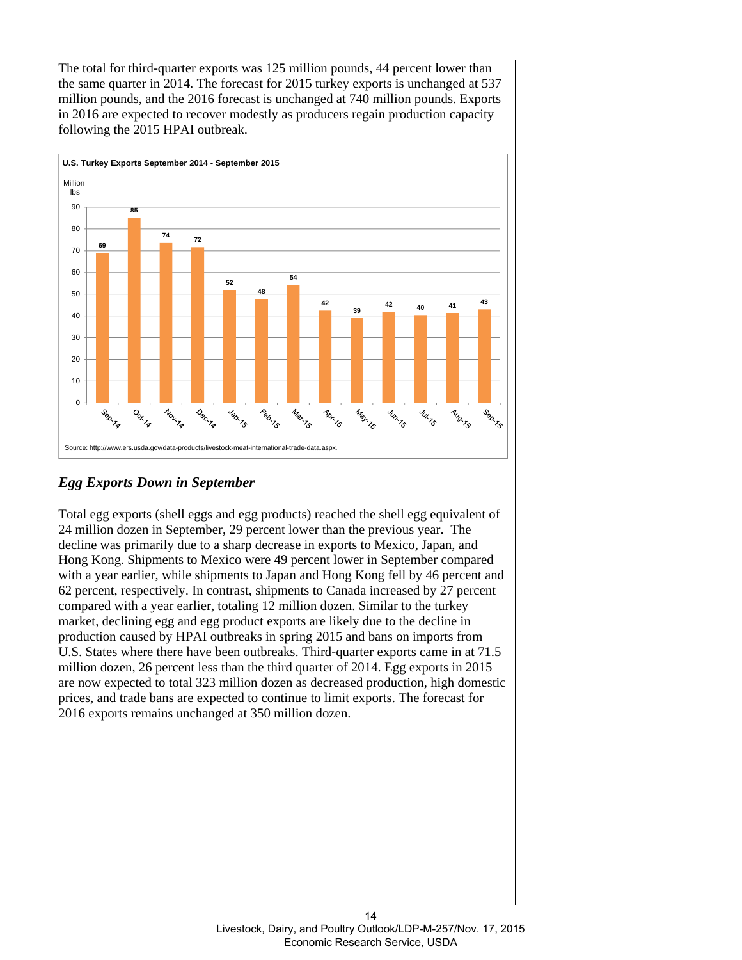The total for third-quarter exports was 125 million pounds, 44 percent lower than the same quarter in 2014. The forecast for 2015 turkey exports is unchanged at 537 million pounds, and the 2016 forecast is unchanged at 740 million pounds. Exports in 2016 are expected to recover modestly as producers regain production capacity following the 2015 HPAI outbreak.



# *Egg Exports Down in September*

Total egg exports (shell eggs and egg products) reached the shell egg equivalent of 24 million dozen in September, 29 percent lower than the previous year. The decline was primarily due to a sharp decrease in exports to Mexico, Japan, and Hong Kong. Shipments to Mexico were 49 percent lower in September compared with a year earlier, while shipments to Japan and Hong Kong fell by 46 percent and 62 percent, respectively. In contrast, shipments to Canada increased by 27 percent compared with a year earlier, totaling 12 million dozen. Similar to the turkey market, declining egg and egg product exports are likely due to the decline in production caused by HPAI outbreaks in spring 2015 and bans on imports from U.S. States where there have been outbreaks. Third-quarter exports came in at 71.5 million dozen, 26 percent less than the third quarter of 2014. Egg exports in 2015 are now expected to total 323 million dozen as decreased production, high domestic prices, and trade bans are expected to continue to limit exports. The forecast for 2016 exports remains unchanged at 350 million dozen.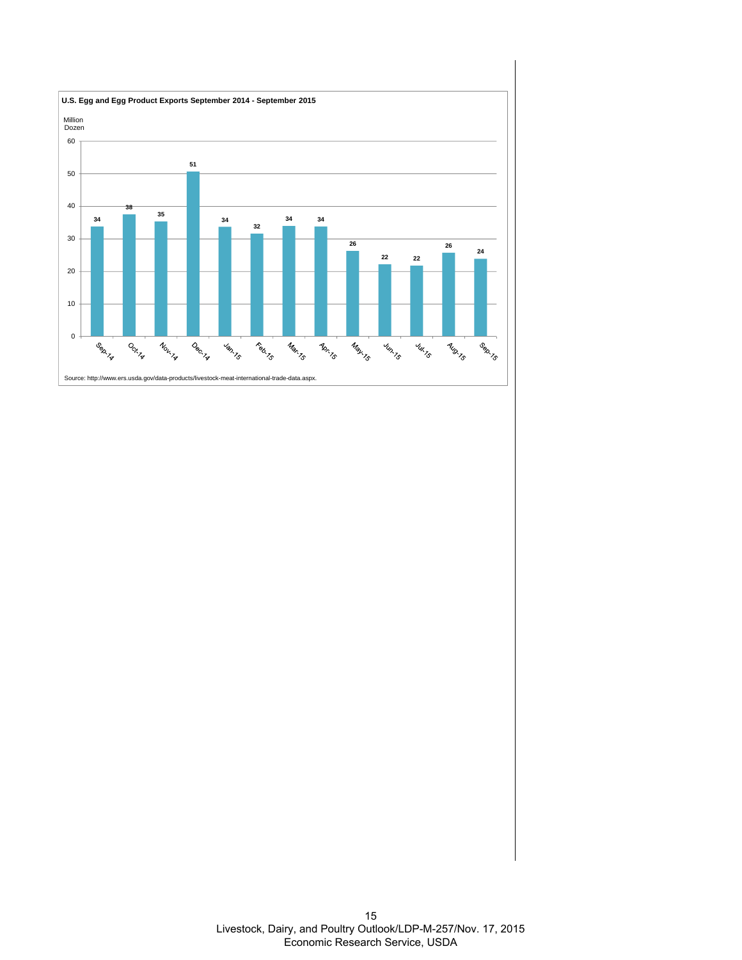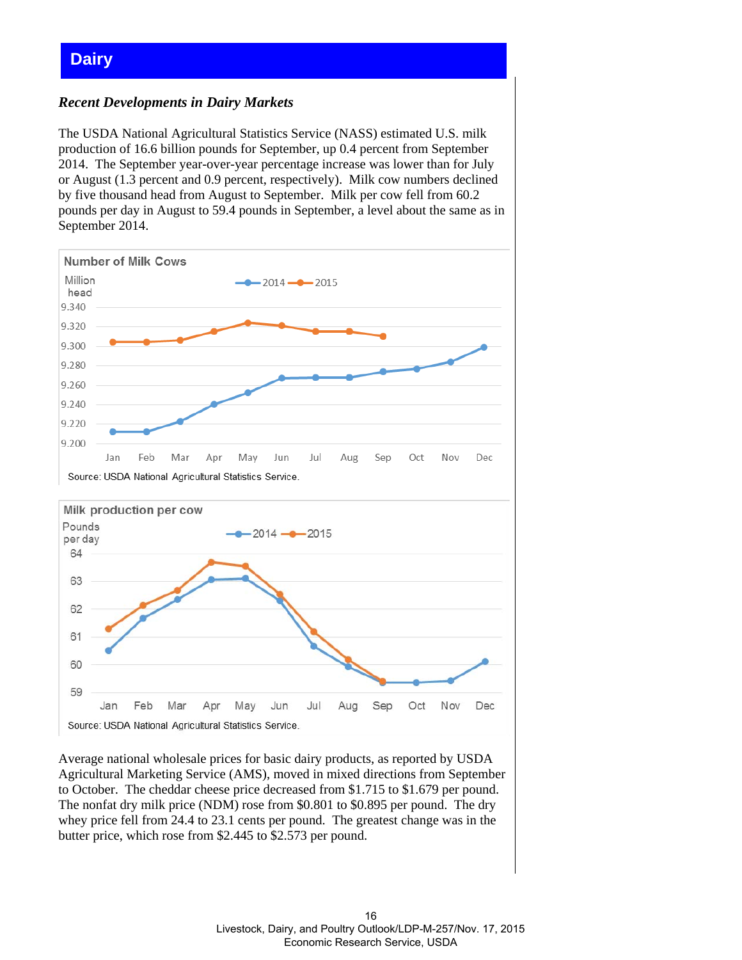# <span id="page-15-0"></span>**Dairy**

## *Recent Developments in Dairy Markets*

The USDA National Agricultural Statistics Service (NASS) estimated U.S. milk production of 16.6 billion pounds for September, up 0.4 percent from September 2014. The September year-over-year percentage increase was lower than for July or August (1.3 percent and 0.9 percent, respectively). Milk cow numbers declined by five thousand head from August to September. Milk per cow fell from 60.2 pounds per day in August to 59.4 pounds in September, a level about the same as in September 2014.



Average national wholesale prices for basic dairy products, as reported by USDA Agricultural Marketing Service (AMS), moved in mixed directions from September to October. The cheddar cheese price decreased from \$1.715 to \$1.679 per pound. The nonfat dry milk price (NDM) rose from \$0.801 to \$0.895 per pound. The dry whey price fell from 24.4 to 23.1 cents per pound. The greatest change was in the butter price, which rose from \$2.445 to \$2.573 per pound.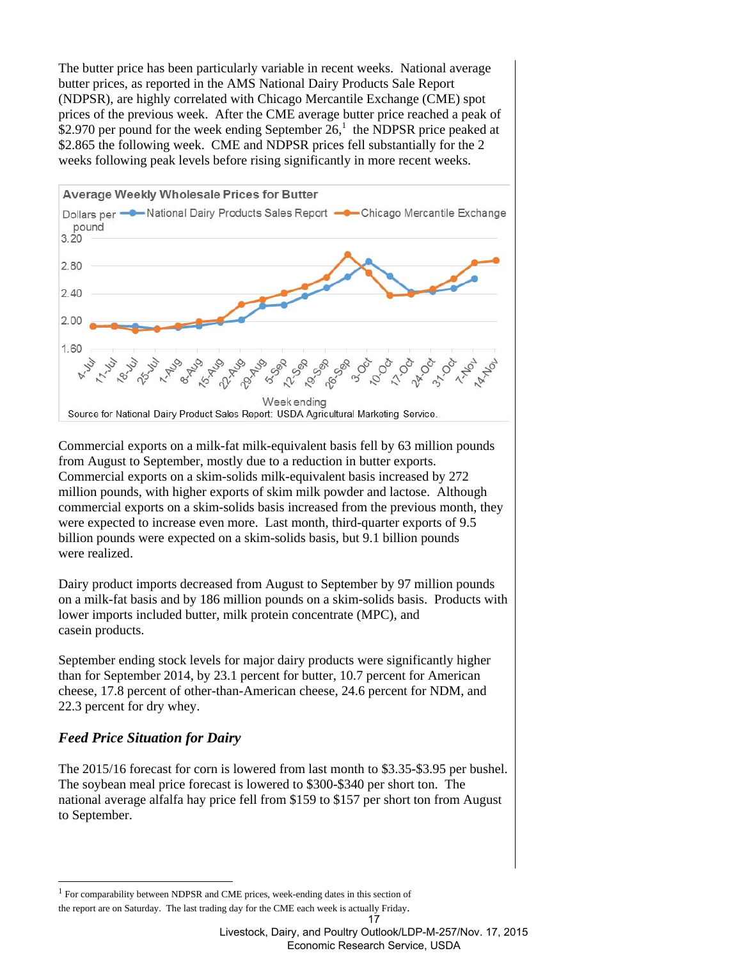The butter price has been particularly variable in recent weeks. National average butter prices, as reported in the AMS National Dairy Products Sale Report (NDPSR), are highly correlated with Chicago Mercantile Exchange (CME) spot prices of the previous week. After the CME average butter price reached a peak of \$2.970 per pound for the week ending September  $26<sup>1</sup>$ , the NDPSR price peaked at \$2.865 the following week. CME and NDPSR prices fell substantially for the 2 weeks following peak levels before rising significantly in more recent weeks.



Commercial exports on a milk-fat milk-equivalent basis fell by 63 million pounds from August to September, mostly due to a reduction in butter exports. Commercial exports on a skim-solids milk-equivalent basis increased by 272 million pounds, with higher exports of skim milk powder and lactose. Although commercial exports on a skim-solids basis increased from the previous month, they were expected to increase even more. Last month, third-quarter exports of 9.5 billion pounds were expected on a skim-solids basis, but 9.1 billion pounds were realized.

Dairy product imports decreased from August to September by 97 million pounds on a milk-fat basis and by 186 million pounds on a skim-solids basis. Products with lower imports included butter, milk protein concentrate (MPC), and casein products.

September ending stock levels for major dairy products were significantly higher than for September 2014, by 23.1 percent for butter, 10.7 percent for American cheese, 17.8 percent of other-than-American cheese, 24.6 percent for NDM, and 22.3 percent for dry whey.

## *Feed Price Situation for Dairy*

1

The 2015/16 forecast for corn is lowered from last month to \$3.35-\$3.95 per bushel. The soybean meal price forecast is lowered to \$300-\$340 per short ton. The national average alfalfa hay price fell from \$159 to \$157 per short ton from August to September.

<sup>&</sup>lt;sup>1</sup> For comparability between NDPSR and CME prices, week-ending dates in this section of the report are on Saturday. The last trading day for the CME each week is actually Friday.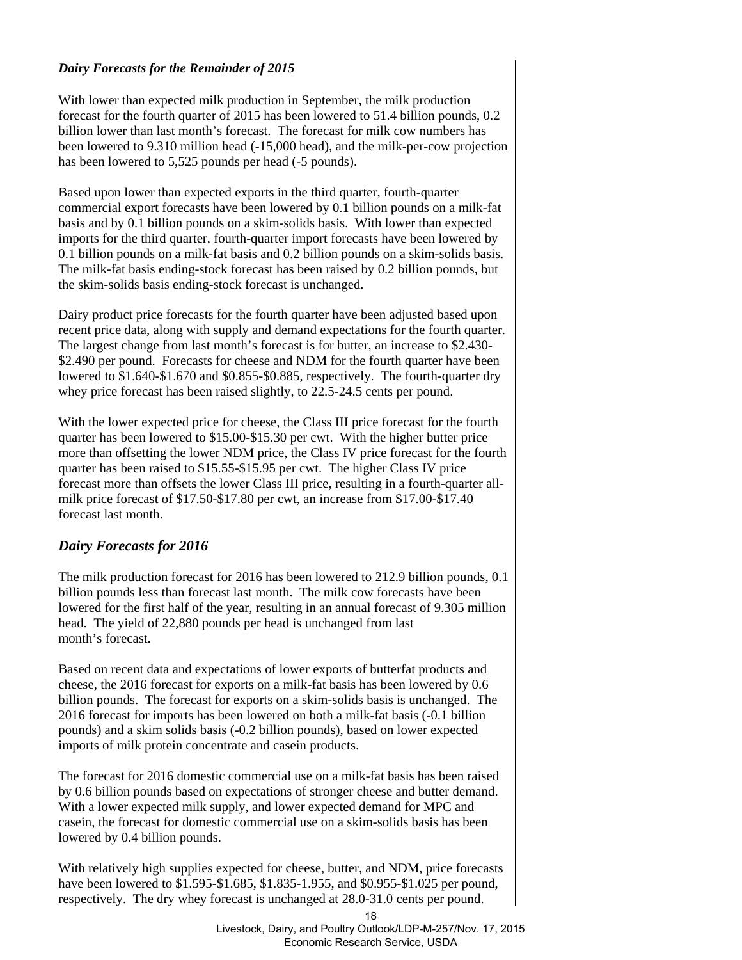#### *Dairy Forecasts for the Remainder of 2015*

With lower than expected milk production in September, the milk production forecast for the fourth quarter of 2015 has been lowered to 51.4 billion pounds, 0.2 billion lower than last month's forecast. The forecast for milk cow numbers has been lowered to 9.310 million head (-15,000 head), and the milk-per-cow projection has been lowered to 5,525 pounds per head (-5 pounds).

Based upon lower than expected exports in the third quarter, fourth-quarter commercial export forecasts have been lowered by 0.1 billion pounds on a milk-fat basis and by 0.1 billion pounds on a skim-solids basis. With lower than expected imports for the third quarter, fourth-quarter import forecasts have been lowered by 0.1 billion pounds on a milk-fat basis and 0.2 billion pounds on a skim-solids basis. The milk-fat basis ending-stock forecast has been raised by 0.2 billion pounds, but the skim-solids basis ending-stock forecast is unchanged.

Dairy product price forecasts for the fourth quarter have been adjusted based upon recent price data, along with supply and demand expectations for the fourth quarter. The largest change from last month's forecast is for butter, an increase to \$2.430- \$2.490 per pound. Forecasts for cheese and NDM for the fourth quarter have been lowered to \$1.640-\$1.670 and \$0.855-\$0.885, respectively. The fourth-quarter dry whey price forecast has been raised slightly, to 22.5-24.5 cents per pound.

With the lower expected price for cheese, the Class III price forecast for the fourth quarter has been lowered to \$15.00-\$15.30 per cwt. With the higher butter price more than offsetting the lower NDM price, the Class IV price forecast for the fourth quarter has been raised to \$15.55-\$15.95 per cwt. The higher Class IV price forecast more than offsets the lower Class III price, resulting in a fourth-quarter allmilk price forecast of \$17.50-\$17.80 per cwt, an increase from \$17.00-\$17.40 forecast last month.

## *Dairy Forecasts for 2016*

The milk production forecast for 2016 has been lowered to 212.9 billion pounds, 0.1 billion pounds less than forecast last month. The milk cow forecasts have been lowered for the first half of the year, resulting in an annual forecast of 9.305 million head. The yield of 22,880 pounds per head is unchanged from last month's forecast.

Based on recent data and expectations of lower exports of butterfat products and cheese, the 2016 forecast for exports on a milk-fat basis has been lowered by 0.6 billion pounds. The forecast for exports on a skim-solids basis is unchanged. The 2016 forecast for imports has been lowered on both a milk-fat basis (-0.1 billion pounds) and a skim solids basis (-0.2 billion pounds), based on lower expected imports of milk protein concentrate and casein products.

The forecast for 2016 domestic commercial use on a milk-fat basis has been raised by 0.6 billion pounds based on expectations of stronger cheese and butter demand. With a lower expected milk supply, and lower expected demand for MPC and casein, the forecast for domestic commercial use on a skim-solids basis has been lowered by 0.4 billion pounds.

With relatively high supplies expected for cheese, butter, and NDM, price forecasts have been lowered to \$1.595-\$1.685, \$1.835-1.955, and \$0.955-\$1.025 per pound, respectively. The dry whey forecast is unchanged at 28.0-31.0 cents per pound.

Livestock, Dairy, and Poultry Outlook/LDP-M-257/Nov. 17, 2015 Economic Research Service, USDA

<sup>18</sup>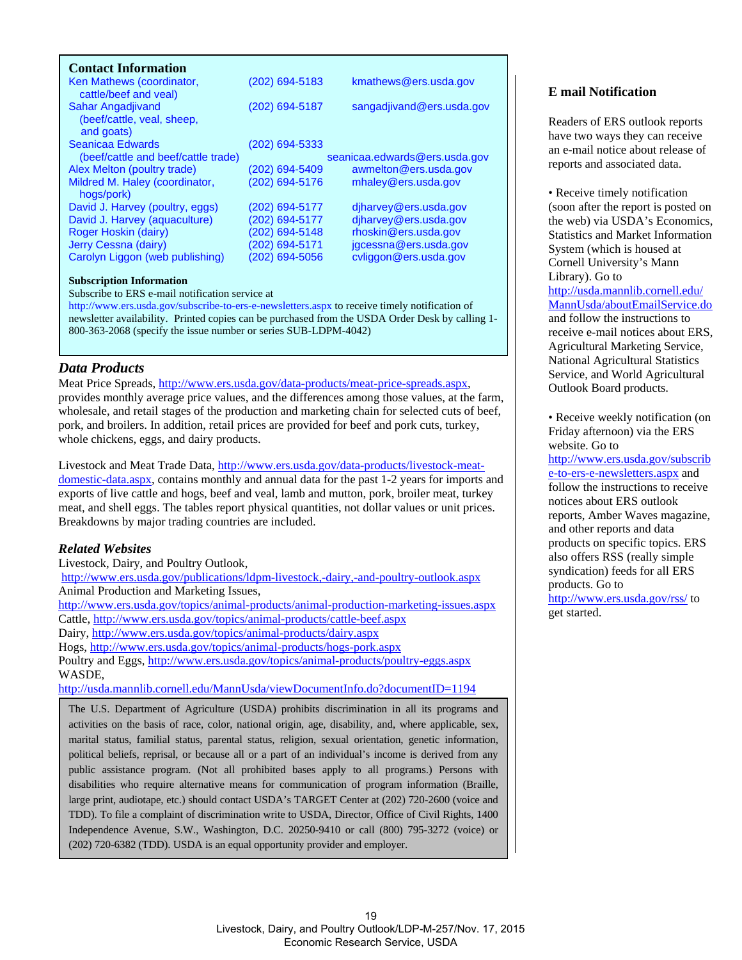<span id="page-18-0"></span>

| <b>Contact Information</b>                                    |                |                               |
|---------------------------------------------------------------|----------------|-------------------------------|
| Ken Mathews (coordinator,<br>cattle/beef and veal)            | (202) 694-5183 | kmathews@ers.usda.gov         |
| Sahar Angadjivand<br>(beef/cattle, veal, sheep,<br>and goats) | (202) 694-5187 | sangadjivand@ers.usda.gov     |
| Seanicaa Edwards                                              | (202) 694-5333 |                               |
| (beef/cattle and beef/cattle trade)                           |                | seanicaa.edwards@ers.usda.gov |
| Alex Melton (poultry trade)                                   | (202) 694-5409 | awmelton@ers.usda.gov         |
| Mildred M. Haley (coordinator,<br>hogs/pork)                  | (202) 694-5176 | mhaley@ers.usda.gov           |
| David J. Harvey (poultry, eggs)                               | (202) 694-5177 | diharvey@ers.usda.gov         |
| David J. Harvey (aquaculture)                                 | (202) 694-5177 | djharvey@ers.usda.gov         |
| Roger Hoskin (dairy)                                          | (202) 694-5148 | rhoskin@ers.usda.gov          |
| Jerry Cessna (dairy)                                          | (202) 694-5171 | jgcessna@ers.usda.gov         |
| Carolyn Liggon (web publishing)                               | (202) 694-5056 | cyliggon@ers.usda.gov         |

#### **Subscription Information**

Subscribe to ERS e-mail notification service at

http://www.ers.usda.gov/subscribe-to-ers-e-newsletters.aspx to receive timely notification of newsletter availability. Printed copies can be purchased from the USDA Order Desk by calling 1- 800-363-2068 (specify the issue number or series SUB-LDPM-4042)

#### *Data Products*

Meat Price Spreads, http://www.ers.usda.gov/data-products/meat-price-spreads.aspx, provides monthly average price values, and the differences among those values, at the farm, wholesale, and retail stages of the production and marketing chain for selected cuts of beef, pork, and broilers. In addition, retail prices are provided for beef and pork cuts, turkey, whole chickens, eggs, and dairy products.

Livestock and Meat Trade Data, http://www.ers.usda.gov/data-products/livestock-meatdomestic-data.aspx, contains monthly and annual data for the past 1-2 years for imports and exports of live cattle and hogs, beef and veal, lamb and mutton, pork, broiler meat, turkey meat, and shell eggs. The tables report physical quantities, not dollar values or unit prices. Breakdowns by major trading countries are included.

#### *Related Websites*

Livestock, Dairy, and Poultry Outlook,

http://www.ers.usda.gov/publications/ldpm-livestock,-dairy,-and-poultry-outlook.aspx Animal Production and Marketing Issues,

http://www.ers.usda.gov/topics/animal-products/animal-production-marketing-issues.aspx Cattle, http://www.ers.usda.gov/topics/animal-products/cattle-beef.aspx

Dairy, http://www.ers.usda.gov/topics/animal-products/dairy.aspx

Hogs, http://www.ers.usda.gov/topics/animal-products/hogs-pork.aspx

Poultry and Eggs, http://www.ers.usda.gov/topics/animal-products/poultry-eggs.aspx WASDE,

http://usda.mannlib.cornell.edu/MannUsda/viewDocumentInfo.do?documentID=1194

The U.S. Department of Agriculture (USDA) prohibits discrimination in all its programs and activities on the basis of race, color, national origin, age, disability, and, where applicable, sex, marital status, familial status, parental status, religion, sexual orientation, genetic information, political beliefs, reprisal, or because all or a part of an individual's income is derived from any public assistance program. (Not all prohibited bases apply to all programs.) Persons with disabilities who require alternative means for communication of program information (Braille, large print, audiotape, etc.) should contact USDA's TARGET Center at (202) 720-2600 (voice and TDD). To file a complaint of discrimination write to USDA, Director, Office of Civil Rights, 1400 Independence Avenue, S.W., Washington, D.C. 20250-9410 or call (800) 795-3272 (voice) or (202) 720-6382 (TDD). USDA is an equal opportunity provider and employer.

#### **E mail Notification**

Readers of ERS outlook reports have two ways they can receive an e-mail notice about release of reports and associated data.

• Receive timely notification (soon after the report is posted on the web) via USDA's Economics, Statistics and Market Information System (which is housed at Cornell University's Mann Library). Go to http://usda.mannlib.cornell.edu/ MannUsda/aboutEmailService.do and follow the instructions to receive e-mail notices about ERS, Agricultural Marketing Service, National Agricultural Statistics Service, and World Agricultural Outlook Board products.

• Receive weekly notification (on Friday afternoon) via the ERS website. Go to

http://www.ers.usda.gov/subscrib e-to-ers-e-newsletters.aspx and follow the instructions to receive notices about ERS outlook reports, Amber Waves magazine, and other reports and data products on specific topics. ERS also offers RSS (really simple syndication) feeds for all ERS products. Go to http://www.ers.usda.gov/rss/ to get started.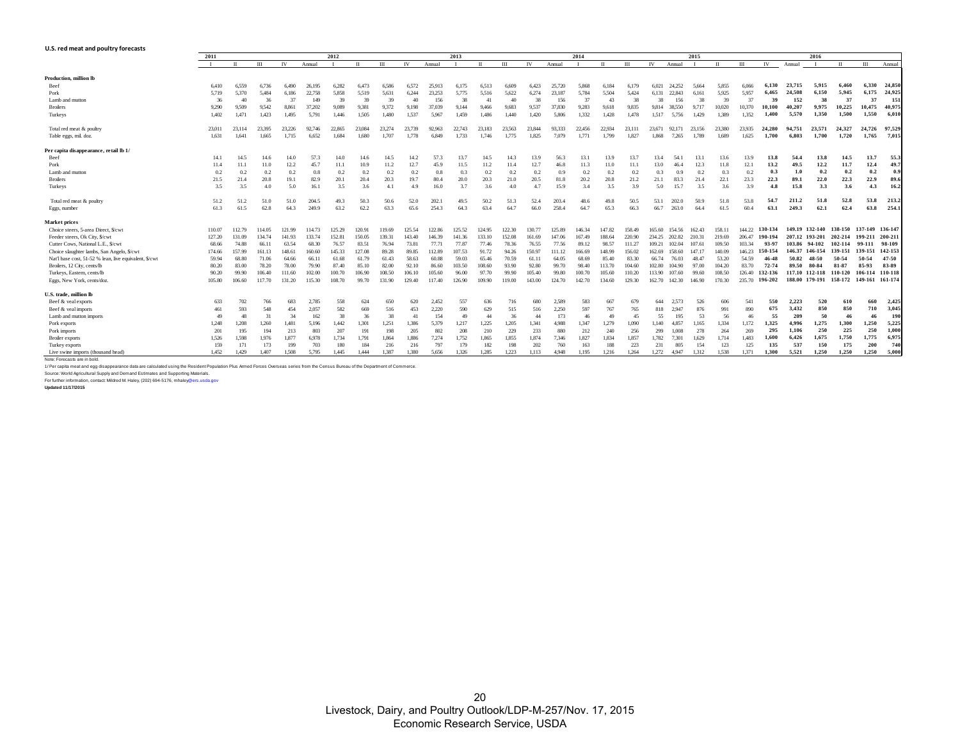#### <span id="page-19-0"></span>**U.S. red meat and poultry forecasts**

|                                                        | 2011   |        | 2012<br>2013 |        |        |        |        |        |        |        | 2014   |        |        |        |        | 2015   |        |        |        |        |        | 2016   |        |         |                |         |         |                 |         |
|--------------------------------------------------------|--------|--------|--------------|--------|--------|--------|--------|--------|--------|--------|--------|--------|--------|--------|--------|--------|--------|--------|--------|--------|--------|--------|--------|---------|----------------|---------|---------|-----------------|---------|
|                                                        |        |        | Ш            | IV     | Annual |        |        | III    | IV     | Annual |        |        | Ш      | IV     | Annual |        |        | Ш      | IV     | Annual |        |        | m      | IV      | Annual         |         |         | Ш               | Annual  |
| Production, million lb                                 |        |        |              |        |        |        |        |        |        |        |        |        |        |        |        |        |        |        |        |        |        |        |        |         |                |         |         |                 |         |
| Beef                                                   | 6.410  | 6.559  | 6.736        | 6.490  | 26.195 | 6.282  | 6.473  | 6.586  | 6.572  | 25.913 | 6.175  | 6.513  | 6.609  | 6.423  | 25,720 | 5.868  | 6.184  | 6.179  | 6.021  | 24.252 | 5.664  | 5.855  | 6.066  | 6.130   | 23,715         | 5,915   | 6.460   | 6.330           | 24,850  |
| Pork                                                   | 5,719  | 5,370  | 5.484        | 6.186  | 22.758 | 5,858  | 5,519  | 5,631  | 6,244  | 23.253 | 5.775  | 5,516  | 5,622  | 6,274  | 23,187 | 5,784  | 5,504  | 5.424  | 6.131  | 22,843 | 6,161  | 5.925  | 5.957  | 6.465   | 24,508         | 6.150   | 5.945   | 6,175           | 24,925  |
| Lamb and mutton                                        | 36     | 40     | 36           | 37     | 149    | 39     | 39     | 39     | 40     | 156    | 38     | 41     | 40     | 38     | 156    | 37     | 43     | 38     | 38     | 156    | 38     | 39     | 37     | 39      | 152            | 38      | 37      | 37              | 151     |
| <b>Broilers</b>                                        | 9,290  | 9.509  | 9.542        | 8.861  | 37,202 | 9.089  | 9,381  | 9,372  | 9.198  | 37.039 | 9.144  | 9,466  | 9.683  | 9,537  | 37,830 | 9,283  | 9,618  | 9.835  | 9.814  | 38.550 | 9,717  | 10.020 | 10.370 | 10.100  | 40.207         | 9.975   | 10,225  | 10.475          | 40,975  |
| Turkeys                                                | 1,402  | 1,471  | 1,423        | 1.495  | 5.791  | 1.446  | 1,505  | 1.480  | 1.537  | 5.967  | 1,459  | 1,486  | 1.440  | 1.420  | 5.806  | 1.332  | 1,428  | 1.478  | 1,517  | 5,756  | 1,429  | 1.389  | 1,352  | 1.400   | 5.570          | 1,350   | 1,500   | 1.550           | 6,010   |
| Total red meat & poultry                               | 23.011 | 23.114 | 23.395       | 23.226 | 92.746 | 22.865 | 23.084 | 23,274 | 23.739 | 92.963 | 22,743 | 23.183 | 23.563 | 23.844 | 93.333 | 22,456 | 22.934 | 23.111 | 23.671 | 92.171 | 23,156 | 23,380 | 23.935 | 24.280  | 94.751         | 23,571  | 24,327  | 24,726          | 97.529  |
| Table eggs, mil doz.                                   | 1.631  | 1.641  | 1.665        | 1.715  | 6.652  | 1.684  | 1.680  | 1.707  | 1.778  | 6.849  | 1.733  | 1.746  | 1.775  | 1.825  | 7.079  | 1.771  | 1,799  | 1.827  | 1.868  | 7,265  | 1.789  | 1.689  | 1.625  | 1.700   | 6.803          | 1.700   | 1.720   | 1.765           | 7.015   |
| Per capita disappearance, retail lb 1/                 |        |        |              |        |        |        |        |        |        |        |        |        |        |        |        |        |        |        |        |        |        |        |        |         |                |         |         |                 |         |
| Beef                                                   | 14.1   | 14.5   | 14.6         | 14.0   | 57.3   | 14.0   | 14.6   | 14.5   | 14.2   | 57.3   | 13.7   | 14.5   | 14.3   | 13.9   | 56.3   | 13.1   | 13.9   | 13.7   | 13.4   | 54.    | 13.1   | 13.6   | 13.9   | 13.8    | 54.4           | 13.8    | 14.5    | 13.7            | 55.3    |
| Pork                                                   | 11.4   | 11.1   | 11.0         | 12.2   | 45.7   | 11.1   | 10.9   | 11.2   | 12.7   | 45.9   | 11.5   | 11.2   | 11.4   | 12.7   | 46.8   | 11.3   | 11.0   | 11.1   | 13.0   | 46.4   | 12.3   | 11.8   | 12.1   | 13.2    | 49.5           | 12.2    | 11.7    | 12.4            | 49.7    |
| Lamb and mutton                                        | 0.2    | 0.2    | 0.2          | 0.2    | 0.8    | 0.2    | 0.2    | 0.2    | 0.2    | 0.8    | 0.3    | 0.2    | 0.2    | 0.2    | 0.9    | 0.2    | 0.2    | 0.2    | 0.3    | 0.9    | 0.2    | 0.3    | 0.2    | 0.3     | 1.0            | 0.2     | 0.2     | 0.2             | 0.9     |
| <b>Broilers</b>                                        | 21.5   | 21.4   | 20.8         | 19.1   | 82.9   | 20.1   | 20.4   | 20.3   | 19.7   | 80.4   | 20.0   | 20.3   | 21.0   | 20.5   | 81.8   | 20.2   | 20.8   | 21.2   | 21.1   | 83.3   | 21.4   | 22.1   | 23.3   | 22.3    | 89.1           | 22.0    | 22.3    | 22.9            | 89.6    |
| Turkeys                                                | 3.5    | 3.5    | 4.0          | 5.0    | 16.1   | 3.5    | 3.6    | 4.1    | 49     | 16.0   | 3.7    | 3.6    | 4.0    | 4.7    | 15.9   | 3.4    | 3.5    | 39     | 5.0    | 15.7   | 3.5    | 3.6    | 3.9    | 4.8     | 15.8           | 3.3     | 3.6     | 4.3             | 16.2    |
| Total red meat & poultry                               | 51.2   | 51.2   | 51.0         | 51.0   | 204.5  | 49.3   | 50.3   | 50.6   | 52.0   | 202.1  | 49.5   | 50.2   | 51.3   | 52.4   | 203.4  | 48.6   | 49.8   | 50.5   | 53.1   | 202.0  | 50.9   | 51.8   | 53.8   | 54.7    | 211.2          | 51.8    | 52.8    | 53.8            | 213.2   |
| Eggs, number                                           | 61.3   | 61.5   | 62.8         | 64.3   | 249.9  | 63.2   | 62.2   | 63.3   | 65.6   | 254.3  | 64.3   | 63.4   | 64.7   | 66.0   | 258.4  | 64.7   | 65.3   | 66.3   | 66.7   | 263.0  | 64.4   | 61.5   | 60.4   | 63.1    | 249.3          | 62.1    | 62.4    | 63.8            | 254.1   |
| Market prices                                          |        |        |              |        |        |        |        |        |        |        |        |        |        |        |        |        |        |        |        |        |        |        |        |         |                |         |         |                 |         |
| Choice steers, 5-area Direct, \$/cwt                   | 110.07 | 112.79 | 14.05        | 121.99 | 114.73 | 125.29 | 120.91 | 119.69 | 125.54 | 122.86 | 125.52 | 124.95 | 122.30 | 130.   | 125.89 | 146.34 | 147.82 | 158.49 | 165.60 | 154.56 | 162.43 | 158.11 | 144.22 | 130-134 | 149.19 132-140 |         | 138-150 | 137-149 136-147 |         |
| Feeder steers, Ok City, \$/cwt                         | 127.20 | 131.09 | 134.74       | 141.93 | 133.74 | 152.81 | 150.05 | 139.31 | 143.40 | 146.39 | 141.36 | 133.10 | 152.08 | 161.69 | 147.06 | 167.49 | 188.64 | 220.90 | 234.25 | 202.82 | 210.31 | 219.69 | 206.47 | 190-194 | 207.12         | 193-201 | 202-214 | 199-211         | 200-211 |
| Cutter Cows, National L.E., \$/cwt                     | 68.66  | 74.88  | 66.11        | 63.54  | 68.30  | 76.57  | 83.51  | 76.94  | 73.81  | 77.71  | 77.87  | 77.46  | 78.36  | 76.55  | 77.56  | 89.12  | 98.57  | 111.27 | 109.21 | 102.04 | 107.61 | 109.50 | 103.34 | 93-97   | 103.86         | 94-102  | 102-114 | 99-111          | 98-109  |
| Choice slaughter lambs, San Angelo, \$/cwt             | 174.66 | 157.99 | 161.13       | 148.61 | 160.60 | 145.33 | 127.08 | 89.28  | 89.85  | 12.89  | 107.53 | 91.72  | 94.26  | 150.97 | 111.12 | 166.69 | 148.99 | 156.02 | 62.69  | 158.60 | 147.17 | 140.09 | 146.23 | 150-154 | 146.37         | 146-154 | 139-151 | 139-151         | 142-153 |
| Nat'l base cost, 51-52 % lean, live equivalent, \$/cwt | 59.94  | 68.80  | 71.06        | 64.66  | 66.11  | 61.68  | 61.79  | 61.43  | 58.63  | 60.88  | 59.03  | 65.46  | 70.59  | 61.11  | 64.05  | 68.69  | 85.40  | 83.30  | 66.74  | 76.03  | 48.47  | 53.20  | 54.59  | 46-48   | 50.82          | 48-50   | 50-54   | 50-54           | 47-50   |
| Broilers, 12 City, cents/lb                            | 80.20  | 83.00  | 78.20        | 78.00  | 79.90  | 87.40  | 85.10  | 82.00  | 92.10  | 86.60  | 103.50 | 108.60 | 93.90  | 92.80  | 99.70  | 98.40  | 113.70 | 104.60 | 102.80 | 104.90 | 97.00  | 104.20 | 83.70  | 72-74   | 89.50          | 80-84   | 81-87   | 85-93           | 83-89   |
| Turkeys, Eastern, cents/lb                             | 90.20  | 99.90  | 106.40       | 111.60 | 102.00 | 100.70 | 106.90 | 108.50 | 106.10 | 105.60 | 96.00  | 97.70  | 99.90  | 105.40 | 99.80  | 100.70 | 105.60 | 110.20 | 113.90 | 107.60 | 99.60  | 108.50 | 126.40 | 132-136 | 117.10         | 112-118 | 110-120 | 106-114 110-118 |         |
| Eggs, New York, cents/doz.                             | 105.80 | 106.60 | 117.70       | 131.20 | 115.30 | 108.70 | 99.70  | 131.90 | 129.40 | 117.40 | 126.90 | 109.90 | 119.00 | 143.00 | 124.70 | 142.70 | 134.60 | 129.30 | 162.70 | 142.30 | 146.90 | 170.30 | 235.70 | 196-202 | 188.00         | 179-191 | 158-172 | 149-161 161-174 |         |
| U.S. trade, million lb                                 |        |        |              |        |        |        |        |        |        |        |        |        |        |        |        |        |        |        |        |        |        |        |        |         |                |         |         |                 |         |
| Beef & veal exports                                    | 633    | 702    | 766          | 683    | 2.785  | 558    | 624    | 650    | 620    | 2.452  | 557    | 636    | 716    | 680    | 2.589  | 583    | 667    | 679    | 644    | 2.573  | 526    | 606    | 541    | 550     | 2,223          | 520     | 610     | 660             | 2,425   |
| Beef & veal imports                                    | 461    | 593    | 548          | 454    | 2.057  | 582    | 669    | 516    | 453    | 2.220  | 590    | 629    | 515    | 516    | 2,250  | 597    | 767    | 765    | 818    | 2.947  | 876    | 991    | 890    | 675     | 3,432          | 850     | 850     | 710             | 3,045   |
| Lamb and mutton imports                                | 49     | 48     | 31           | 34     | 162    | 38     | 36     | 38     | 41     | 154    | 49     | 44     | 36     | 44     | 173    | 46     | 49     | 45     | 55     | 195    | -53    | 56     | 46     | 55      | 209            | 50      | 46      | 46              | 190     |
| Pork exports                                           | 1,248  | 1.208  | 1.260        | 1.481  | 5.196  | 1.442  | 1.301  | 1,251  | 386    | 5.379  | 1,217  | 1,225  | 1,205  | 1.341  | 4.988  | 1.347  | 1,279  | 1.090  | 1.140  | 4.857  | 1.165  | 1.334  | 1.172  | 1.325   | 4.996          | 1,275   | 1,300   | 1.250           | 5,225   |
| Pork imports                                           | 201    | 195    | 194          | 213    | 803    | 207    | 191    | 198    | 205    | 802    | 208    | 210    | 229    | 233    | 880    | 212    | 240    | 256    | 299    | 1.008  | 278    | 264    | 269    | 295     | 1.106          | 250     | 225     | 250             | 1,000   |
| <b>Broiler</b> exports                                 | 1,526  | 1.598  | 1.976        | 1.877  | 6,978  | 1,734  | 1,791  | 1,864  | 1.886  | 7,274  | 1,752  | 1,865  | 1,855  | 1,874  | 7,346  | 1,827  | 1,834  | 1,857  | 1,782  | 7,301  | 1,629  | 1,714  | 1,483  | 1.600   | 6,426          | 1,675   | 1,750   | 1,775           | 6,975   |
| Turkey exports                                         | 159    | 171    | 173          | 199    | 703    | 180    | 184    | 216    | 216    | 797    | 179    | 182    | 198    | 202    | 760    | 163    | 188    | 223    | 231    | 805    | 154    | 123    | 125    | 135     | 537            | 150     | 175     | 200             | 740     |
| Live swine imports (thousand head)                     | 1.452  | 1.429  | 1.407        | 1.508  | 5.795  | 1.445  | 1.444  | 1.387  | 1.380  | 5.656  | 1.326  | 1.285  | 1.223  | 1.113  | 4.948  | 1.195  | 1.216  | 1.264  | 1.272  | 4.947  | 1.312  | 1.538  | 1.371  | 1.300   | 5.521          | 1.250   | 1.250   | 1.250           | 5.000   |
| Note: Forecasts are in hold                            |        |        |              |        |        |        |        |        |        |        |        |        |        |        |        |        |        |        |        |        |        |        |        |         |                |         |         |                 |         |

1/ Per capita meat and egg disappearance data are calculated using the Resident Population Plus Armed Forces Overseas series from the Census Bureau of the Department of Commerce.

Source: World Agricultural Supply and Demand Estimates and Supporting Materials.<br>For further information, contact: Mildred M. Haley, (202) 694-5176, mhaley@ers.usda.gov<br>**Updated 11/17/2015**